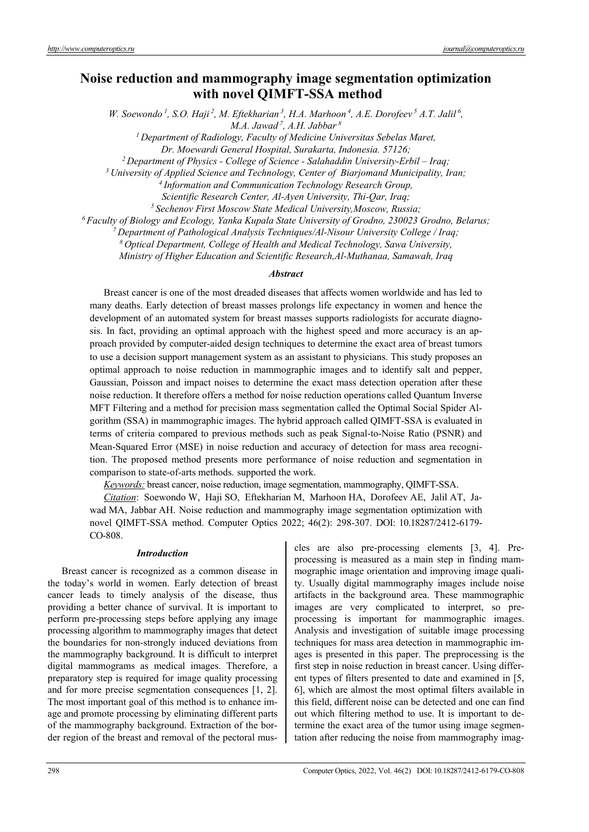# **Noise reduction and mammography image segmentation optimization with novel QIMFT-SSA method**

*W. Soewondo<sup>1</sup>, S.O. Haji<sup>2</sup>, M. Eftekharian<sup>3</sup>, H.A. Marhoon<sup>4</sup>, A.E. Dorofeev<sup>5</sup> A.T. Jalil<sup>6</sup>, M.A. Jawad 7, A.H. Jabbar 8*

*1 Department of Radiology, Faculty of Medicine Universitas Sebelas Maret,* 

Dr. Moewardi General Hospital, Surakarta, Indonesia. 57126;<br><sup>2</sup> Department of Physics - College of Science - Salahaddin University-Erbil – Iraq;<br><sup>3</sup> University of Applied Science and Technology, Center of Biarjomand Munici

Scientific Research Center, Al-Ayen University, Thi-Qar, Iraq;<br><sup>5</sup> Sechenov First Moscow State Medical University, Moscow, Russia;<br><sup>6</sup> Faculty of Biology and Ecology, Yanka Kupala State University of Grodno, 230023 Grodno,

*8 Optical Department, College of Health and Medical Technology, Sawa University,* 

*Ministry of Higher Education and Scientific Research,Al-Muthanaa, Samawah, Iraq* 

# *Abstract*

Breast cancer is one of the most dreaded diseases that affects women worldwide and has led to many deaths. Early detection of breast masses prolongs life expectancy in women and hence the development of an automated system for breast masses supports radiologists for accurate diagnosis. In fact, providing an optimal approach with the highest speed and more accuracy is an approach provided by computer-aided design techniques to determine the exact area of breast tumors to use a decision support management system as an assistant to physicians. This study proposes an optimal approach to noise reduction in mammographic images and to identify salt and pepper, Gaussian, Poisson and impact noises to determine the exact mass detection operation after these noise reduction. It therefore offers a method for noise reduction operations called Quantum Inverse MFT Filtering and a method for precision mass segmentation called the Optimal Social Spider Algorithm (SSA) in mammographic images. The hybrid approach called QIMFT-SSA is evaluated in terms of criteria compared to previous methods such as peak Signal-to-Noise Ratio (PSNR) and Mean-Squared Error (MSE) in noise reduction and accuracy of detection for mass area recognition. The proposed method presents more performance of noise reduction and segmentation in comparison to state-of-arts methods. supported the work.

*Keywords:* breast cancer, noise reduction, image segmentation, mammography, QIMFT-SSA.

*Citation*: Soewondo W, Haji SO, Eftekharian M, Marhoon HA, Dorofeev AE, Jalil AT, Jawad MA, Jabbar AH. Noise reduction and mammography image segmentation optimization with novel QIMFT-SSA method. Computer Optics 2022; 46(2): 298-307. DOI: 10.18287/2412-6179- CO-808.

#### *Introduction*

Breast cancer is recognized as a common disease in the today's world in women. Early detection of breast cancer leads to timely analysis of the disease, thus providing a better chance of survival. It is important to perform pre-processing steps before applying any image processing algorithm to mammography images that detect the boundaries for non-strongly induced deviations from the mammography background. It is difficult to interpret digital mammograms as medical images. Therefore, a preparatory step is required for image quality processing and for more precise segmentation consequences [1, 2]. The most important goal of this method is to enhance image and promote processing by eliminating different parts of the mammography background. Extraction of the border region of the breast and removal of the pectoral muscles are also pre-processing elements [3, 4]. Preprocessing is measured as a main step in finding mammographic image orientation and improving image quality. Usually digital mammography images include noise artifacts in the background area. These mammographic images are very complicated to interpret, so preprocessing is important for mammographic images. Analysis and investigation of suitable image processing techniques for mass area detection in mammographic images is presented in this paper. The preprocessing is the first step in noise reduction in breast cancer. Using different types of filters presented to date and examined in [5, 6], which are almost the most optimal filters available in this field, different noise can be detected and one can find out which filtering method to use. It is important to determine the exact area of the tumor using image segmentation after reducing the noise from mammography imag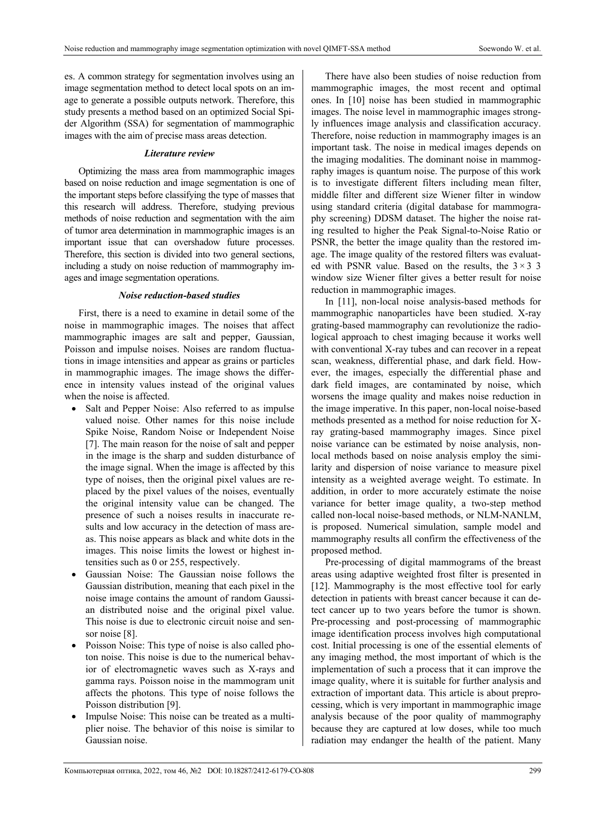es. A common strategy for segmentation involves using an image segmentation method to detect local spots on an image to generate a possible outputs network. Therefore, this study presents a method based on an optimized Social Spider Algorithm (SSA) for segmentation of mammographic images with the aim of precise mass areas detection.

# *Literature review*

Optimizing the mass area from mammographic images based on noise reduction and image segmentation is one of the important steps before classifying the type of masses that this research will address. Therefore, studying previous methods of noise reduction and segmentation with the aim of tumor area determination in mammographic images is an important issue that can overshadow future processes. Therefore, this section is divided into two general sections, including a study on noise reduction of mammography images and image segmentation operations.

# *Noise reduction-based studies*

First, there is a need to examine in detail some of the noise in mammographic images. The noises that affect mammographic images are salt and pepper, Gaussian, Poisson and impulse noises. Noises are random fluctuations in image intensities and appear as grains or particles in mammographic images. The image shows the difference in intensity values instead of the original values when the noise is affected.

- Salt and Pepper Noise: Also referred to as impulse valued noise. Other names for this noise include Spike Noise, Random Noise or Independent Noise [7]. The main reason for the noise of salt and pepper in the image is the sharp and sudden disturbance of the image signal. When the image is affected by this type of noises, then the original pixel values are replaced by the pixel values of the noises, eventually the original intensity value can be changed. The presence of such a noises results in inaccurate results and low accuracy in the detection of mass areas. This noise appears as black and white dots in the images. This noise limits the lowest or highest intensities such as 0 or 255, respectively.
- Gaussian Noise: The Gaussian noise follows the Gaussian distribution, meaning that each pixel in the noise image contains the amount of random Gaussian distributed noise and the original pixel value. This noise is due to electronic circuit noise and sensor noise [8].
- Poisson Noise: This type of noise is also called photon noise. This noise is due to the numerical behavior of electromagnetic waves such as X-rays and gamma rays. Poisson noise in the mammogram unit affects the photons. This type of noise follows the Poisson distribution [9].
- Impulse Noise: This noise can be treated as a multiplier noise. The behavior of this noise is similar to Gaussian noise.

There have also been studies of noise reduction from mammographic images, the most recent and optimal ones. In [10] noise has been studied in mammographic images. The noise level in mammographic images strongly influences image analysis and classification accuracy. Therefore, noise reduction in mammography images is an important task. The noise in medical images depends on the imaging modalities. The dominant noise in mammography images is quantum noise. The purpose of this work is to investigate different filters including mean filter, middle filter and different size Wiener filter in window using standard criteria (digital database for mammography screening) DDSM dataset. The higher the noise rating resulted to higher the Peak Signal-to-Noise Ratio or PSNR, the better the image quality than the restored image. The image quality of the restored filters was evaluated with PSNR value. Based on the results, the  $3 \times 3$  3 window size Wiener filter gives a better result for noise reduction in mammographic images.

In [11], non-local noise analysis-based methods for mammographic nanoparticles have been studied. X-ray grating-based mammography can revolutionize the radiological approach to chest imaging because it works well with conventional X-ray tubes and can recover in a repeat scan, weakness, differential phase, and dark field. However, the images, especially the differential phase and dark field images, are contaminated by noise, which worsens the image quality and makes noise reduction in the image imperative. In this paper, non-local noise-based methods presented as a method for noise reduction for Xray grating-based mammography images. Since pixel noise variance can be estimated by noise analysis, nonlocal methods based on noise analysis employ the similarity and dispersion of noise variance to measure pixel intensity as a weighted average weight. To estimate. In addition, in order to more accurately estimate the noise variance for better image quality, a two-step method called non-local noise-based methods, or NLM-NANLM, is proposed. Numerical simulation, sample model and mammography results all confirm the effectiveness of the proposed method.

Pre-processing of digital mammograms of the breast areas using adaptive weighted frost filter is presented in [12]. Mammography is the most effective tool for early detection in patients with breast cancer because it can detect cancer up to two years before the tumor is shown. Pre-processing and post-processing of mammographic image identification process involves high computational cost. Initial processing is one of the essential elements of any imaging method, the most important of which is the implementation of such a process that it can improve the image quality, where it is suitable for further analysis and extraction of important data. This article is about preprocessing, which is very important in mammographic image analysis because of the poor quality of mammography because they are captured at low doses, while too much radiation may endanger the health of the patient. Many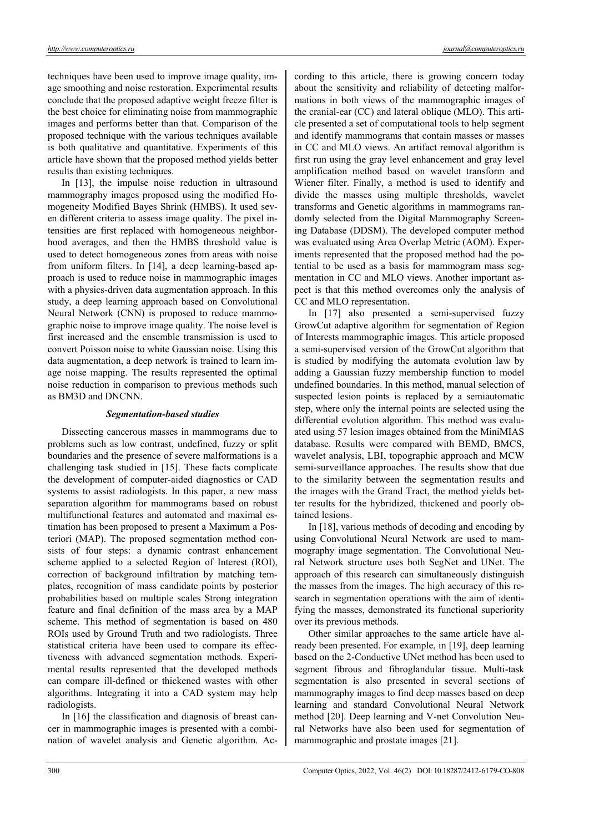techniques have been used to improve image quality, image smoothing and noise restoration. Experimental results conclude that the proposed adaptive weight freeze filter is the best choice for eliminating noise from mammographic images and performs better than that. Comparison of the proposed technique with the various techniques available is both qualitative and quantitative. Experiments of this article have shown that the proposed method yields better results than existing techniques.

In [13], the impulse noise reduction in ultrasound mammography images proposed using the modified Homogeneity Modified Bayes Shrink (HMBS). It used seven different criteria to assess image quality. The pixel intensities are first replaced with homogeneous neighborhood averages, and then the HMBS threshold value is used to detect homogeneous zones from areas with noise from uniform filters. In [14], a deep learning-based approach is used to reduce noise in mammographic images with a physics-driven data augmentation approach. In this study, a deep learning approach based on Convolutional Neural Network (CNN) is proposed to reduce mammographic noise to improve image quality. The noise level is first increased and the ensemble transmission is used to convert Poisson noise to white Gaussian noise. Using this data augmentation, a deep network is trained to learn image noise mapping. The results represented the optimal noise reduction in comparison to previous methods such as BM3D and DNCNN.

# *Segmentation-based studies*

Dissecting cancerous masses in mammograms due to problems such as low contrast, undefined, fuzzy or split boundaries and the presence of severe malformations is a challenging task studied in [15]. These facts complicate the development of computer-aided diagnostics or CAD systems to assist radiologists. In this paper, a new mass separation algorithm for mammograms based on robust multifunctional features and automated and maximal estimation has been proposed to present a Maximum a Posteriori (MAP). The proposed segmentation method consists of four steps: a dynamic contrast enhancement scheme applied to a selected Region of Interest (ROI), correction of background infiltration by matching templates, recognition of mass candidate points by posterior probabilities based on multiple scales Strong integration feature and final definition of the mass area by a MAP scheme. This method of segmentation is based on 480 ROIs used by Ground Truth and two radiologists. Three statistical criteria have been used to compare its effectiveness with advanced segmentation methods. Experimental results represented that the developed methods can compare ill-defined or thickened wastes with other algorithms. Integrating it into a CAD system may help radiologists.

In [16] the classification and diagnosis of breast cancer in mammographic images is presented with a combination of wavelet analysis and Genetic algorithm. According to this article, there is growing concern today about the sensitivity and reliability of detecting malformations in both views of the mammographic images of the cranial-ear (CC) and lateral oblique (MLO). This article presented a set of computational tools to help segment and identify mammograms that contain masses or masses in CC and MLO views. An artifact removal algorithm is first run using the gray level enhancement and gray level amplification method based on wavelet transform and Wiener filter. Finally, a method is used to identify and divide the masses using multiple thresholds, wavelet transforms and Genetic algorithms in mammograms randomly selected from the Digital Mammography Screening Database (DDSM). The developed computer method was evaluated using Area Overlap Metric (AOM). Experiments represented that the proposed method had the potential to be used as a basis for mammogram mass segmentation in CC and MLO views. Another important aspect is that this method overcomes only the analysis of CC and MLO representation.

In [17] also presented a semi-supervised fuzzy GrowCut adaptive algorithm for segmentation of Region of Interests mammographic images. This article proposed a semi-supervised version of the GrowCut algorithm that is studied by modifying the automata evolution law by adding a Gaussian fuzzy membership function to model undefined boundaries. In this method, manual selection of suspected lesion points is replaced by a semiautomatic step, where only the internal points are selected using the differential evolution algorithm. This method was evaluated using 57 lesion images obtained from the MiniMIAS database. Results were compared with BEMD, BMCS, wavelet analysis, LBI, topographic approach and MCW semi-surveillance approaches. The results show that due to the similarity between the segmentation results and the images with the Grand Tract, the method yields better results for the hybridized, thickened and poorly obtained lesions.

In [18], various methods of decoding and encoding by using Convolutional Neural Network are used to mammography image segmentation. The Convolutional Neural Network structure uses both SegNet and UNet. The approach of this research can simultaneously distinguish the masses from the images. The high accuracy of this research in segmentation operations with the aim of identifying the masses, demonstrated its functional superiority over its previous methods.

Other similar approaches to the same article have already been presented. For example, in [19], deep learning based on the 2-Conductive UNet method has been used to segment fibrous and fibroglandular tissue. Multi-task segmentation is also presented in several sections of mammography images to find deep masses based on deep learning and standard Convolutional Neural Network method [20]. Deep learning and V-net Convolution Neural Networks have also been used for segmentation of mammographic and prostate images [21].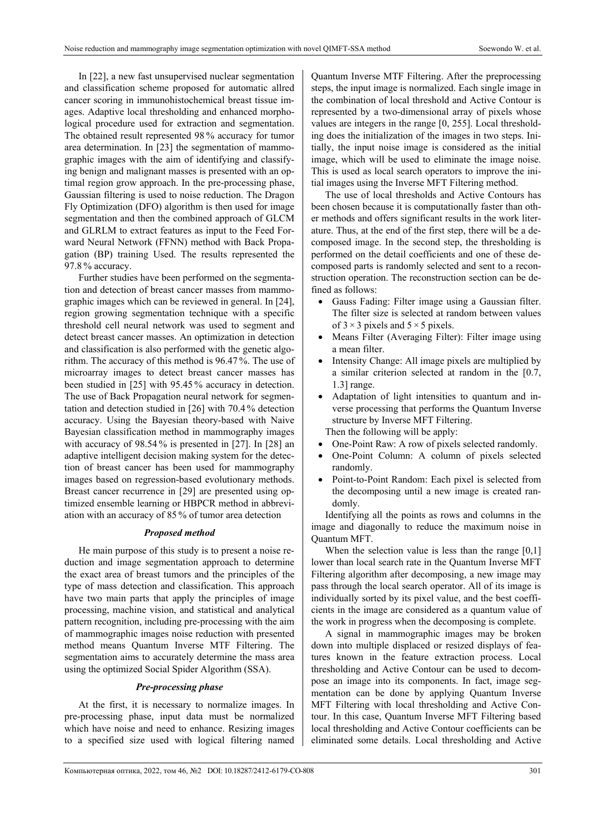In [22], a new fast unsupervised nuclear segmentation and classification scheme proposed for automatic allred cancer scoring in immunohistochemical breast tissue images. Adaptive local thresholding and enhanced morphological procedure used for extraction and segmentation. The obtained result represented 98 % accuracy for tumor area determination. In [23] the segmentation of mammographic images with the aim of identifying and classifying benign and malignant masses is presented with an optimal region grow approach. In the pre-processing phase, Gaussian filtering is used to noise reduction. The Dragon Fly Optimization (DFO) algorithm is then used for image segmentation and then the combined approach of GLCM and GLRLM to extract features as input to the Feed Forward Neural Network (FFNN) method with Back Propagation (BP) training Used. The results represented the 97.8 % accuracy.

Further studies have been performed on the segmentation and detection of breast cancer masses from mammographic images which can be reviewed in general. In [24], region growing segmentation technique with a specific threshold cell neural network was used to segment and detect breast cancer masses. An optimization in detection and classification is also performed with the genetic algorithm. The accuracy of this method is 96.47 %. The use of microarray images to detect breast cancer masses has been studied in [25] with 95.45 % accuracy in detection. The use of Back Propagation neural network for segmentation and detection studied in [26] with 70.4 % detection accuracy. Using the Bayesian theory-based with Naive Bayesian classification method in mammography images with accuracy of 98.54 % is presented in [27]. In [28] an adaptive intelligent decision making system for the detection of breast cancer has been used for mammography images based on regression-based evolutionary methods. Breast cancer recurrence in [29] are presented using optimized ensemble learning or HBPCR method in abbreviation with an accuracy of 85 % of tumor area detection

### *Proposed method*

He main purpose of this study is to present a noise reduction and image segmentation approach to determine the exact area of breast tumors and the principles of the type of mass detection and classification. This approach have two main parts that apply the principles of image processing, machine vision, and statistical and analytical pattern recognition, including pre-processing with the aim of mammographic images noise reduction with presented method means Quantum Inverse MTF Filtering. The segmentation aims to accurately determine the mass area using the optimized Social Spider Algorithm (SSA).

# *Pre-processing phase*

At the first, it is necessary to normalize images. In pre-processing phase, input data must be normalized which have noise and need to enhance. Resizing images to a specified size used with logical filtering named

Quantum Inverse MTF Filtering. After the preprocessing steps, the input image is normalized. Each single image in the combination of local threshold and Active Contour is represented by a two-dimensional array of pixels whose values are integers in the range [0, 255]. Local thresholding does the initialization of the images in two steps. Initially, the input noise image is considered as the initial image, which will be used to eliminate the image noise. This is used as local search operators to improve the initial images using the Inverse MFT Filtering method.

The use of local thresholds and Active Contours has been chosen because it is computationally faster than other methods and offers significant results in the work literature. Thus, at the end of the first step, there will be a decomposed image. In the second step, the thresholding is performed on the detail coefficients and one of these decomposed parts is randomly selected and sent to a reconstruction operation. The reconstruction section can be defined as follows:

- Gauss Fading: Filter image using a Gaussian filter. The filter size is selected at random between values of  $3 \times 3$  pixels and  $5 \times 5$  pixels.
- Means Filter (Averaging Filter): Filter image using a mean filter.
- Intensity Change: All image pixels are multiplied by a similar criterion selected at random in the [0.7, 1.3] range.
- Adaptation of light intensities to quantum and inverse processing that performs the Quantum Inverse structure by Inverse MFT Filtering.

Then the following will be apply:

- One-Point Raw: A row of pixels selected randomly.
- One-Point Column: A column of pixels selected randomly.
- Point-to-Point Random: Each pixel is selected from the decomposing until a new image is created randomly.

Identifying all the points as rows and columns in the image and diagonally to reduce the maximum noise in Quantum MFT.

When the selection value is less than the range [0,1] lower than local search rate in the Quantum Inverse MFT Filtering algorithm after decomposing, a new image may pass through the local search operator. All of its image is individually sorted by its pixel value, and the best coefficients in the image are considered as a quantum value of the work in progress when the decomposing is complete.

A signal in mammographic images may be broken down into multiple displaced or resized displays of features known in the feature extraction process. Local thresholding and Active Contour can be used to decompose an image into its components. In fact, image segmentation can be done by applying Quantum Inverse MFT Filtering with local thresholding and Active Contour. In this case, Quantum Inverse MFT Filtering based local thresholding and Active Contour coefficients can be eliminated some details. Local thresholding and Active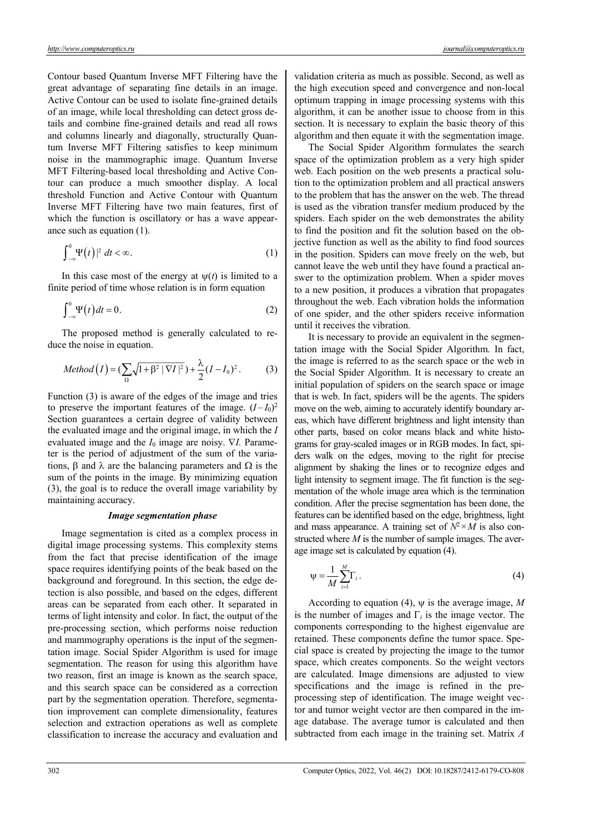Contour based Quantum Inverse MFT Filtering have the great advantage of separating fine details in an image. Active Contour can be used to isolate fine-grained details of an image, while local thresholding can detect gross details and combine fine-grained details and read all rows and columns linearly and diagonally, structurally Quantum Inverse MFT Filtering satisfies to keep minimum noise in the mammographic image. Quantum Inverse MFT Filtering-based local thresholding and Active Contour can produce a much smoother display. A local threshold Function and Active Contour with Quantum Inverse MFT Filtering have two main features, first of which the function is oscillatory or has a wave appearance such as equation (1).

$$
\int_{-\infty}^{0} \Psi(t) \, |^{2} \, dt < \infty. \tag{1}
$$

In this case most of the energy at  $\psi(t)$  is limited to a finite period of time whose relation is in form equation

$$
\int_{-\infty}^{0} \Psi(t) dt = 0.
$$
 (2)

The proposed method is generally calculated to reduce the noise in equation.

$$
Method(I) = (\sum_{\Omega} \sqrt{1 + \beta^2 |\nabla I|^2}) + \frac{\lambda}{2} (I - I_0)^2.
$$
 (3)

Function (3) is aware of the edges of the image and tries to preserve the important features of the image.  $(I - I_0)^2$ Section guarantees a certain degree of validity between the evaluated image and the original image, in which the *I* evaluated image and the  $I_0$  image are noisy.  $\nabla I$ . Parameter is the period of adjustment of the sum of the variations,  $\beta$  and  $\lambda$  are the balancing parameters and  $\Omega$  is the sum of the points in the image. By minimizing equation (3), the goal is to reduce the overall image variability by maintaining accuracy.

### *Image segmentation phase*

Image segmentation is cited as a complex process in digital image processing systems. This complexity stems from the fact that precise identification of the image space requires identifying points of the beak based on the background and foreground. In this section, the edge detection is also possible, and based on the edges, different areas can be separated from each other. It separated in terms of light intensity and color. In fact, the output of the pre-processing section, which performs noise reduction and mammography operations is the input of the segmentation image. Social Spider Algorithm is used for image segmentation. The reason for using this algorithm have two reason, first an image is known as the search space, and this search space can be considered as a correction part by the segmentation operation. Therefore, segmentation improvement can complete dimensionality, features selection and extraction operations as well as complete classification to increase the accuracy and evaluation and validation criteria as much as possible. Second, as well as the high execution speed and convergence and non-local optimum trapping in image processing systems with this algorithm, it can be another issue to choose from in this section. It is necessary to explain the basic theory of this algorithm and then equate it with the segmentation image.

The Social Spider Algorithm formulates the search space of the optimization problem as a very high spider web. Each position on the web presents a practical solution to the optimization problem and all practical answers to the problem that has the answer on the web. The thread is used as the vibration transfer medium produced by the spiders. Each spider on the web demonstrates the ability to find the position and fit the solution based on the objective function as well as the ability to find food sources in the position. Spiders can move freely on the web, but cannot leave the web until they have found a practical answer to the optimization problem. When a spider moves to a new position, it produces a vibration that propagates throughout the web. Each vibration holds the information of one spider, and the other spiders receive information until it receives the vibration.

It is necessary to provide an equivalent in the segmentation image with the Social Spider Algorithm. In fact, the image is referred to as the search space or the web in the Social Spider Algorithm. It is necessary to create an initial population of spiders on the search space or image that is web. In fact, spiders will be the agents. The spiders move on the web, aiming to accurately identify boundary areas, which have different brightness and light intensity than other parts, based on color means black and white histograms for gray-scaled images or in RGB modes. In fact, spiders walk on the edges, moving to the right for precise alignment by shaking the lines or to recognize edges and light intensity to segment image. The fit function is the segmentation of the whole image area which is the termination condition. After the precise segmentation has been done, the features can be identified based on the edge, brightness, light and mass appearance. A training set of  $N^2 \times M$  is also constructed where *M* is the number of sample images. The average image set is calculated by equation (4).

$$
\psi = \frac{1}{M} \sum_{i=1}^{M} \Gamma_i.
$$
\n(4)

According to equation (4),  $\psi$  is the average image, M is the number of images and  $\Gamma_i$  is the image vector. The components corresponding to the highest eigenvalue are retained. These components define the tumor space. Special space is created by projecting the image to the tumor space, which creates components. So the weight vectors are calculated. Image dimensions are adjusted to view specifications and the image is refined in the preprocessing step of identification. The image weight vector and tumor weight vector are then compared in the image database. The average tumor is calculated and then subtracted from each image in the training set. Matrix *A*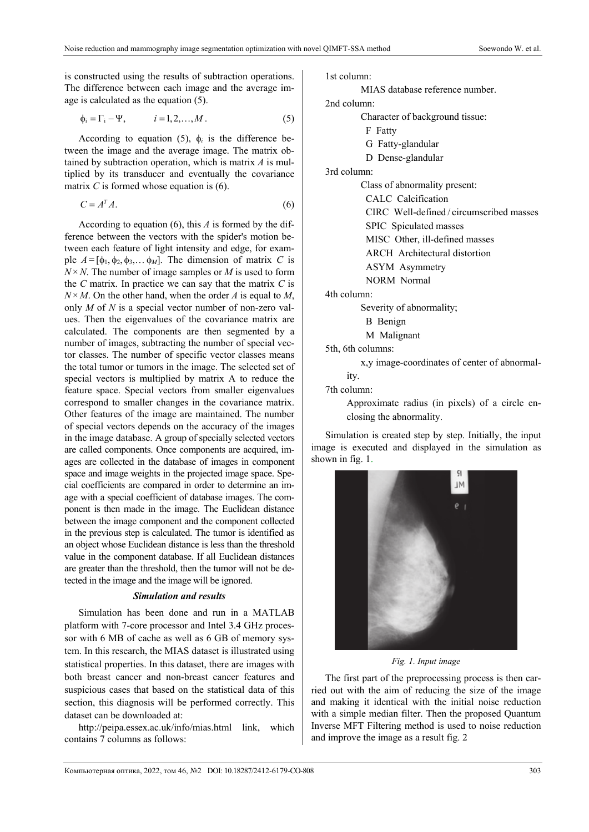is constructed using the results of subtraction operations. The difference between each image and the average image is calculated as the equation (5).

$$
\phi_i = \Gamma_i - \Psi, \qquad i = 1, 2, \dots, M. \tag{5}
$$

According to equation (5),  $\phi_i$  is the difference between the image and the average image. The matrix obtained by subtraction operation, which is matrix *A* is multiplied by its transducer and eventually the covariance matrix *C* is formed whose equation is (6).

$$
C = A^T A. \tag{6}
$$

According to equation (6), this *A* is formed by the difference between the vectors with the spider's motion between each feature of light intensity and edge, for example  $A = [\phi_1, \phi_2, \phi_3, \dots, \phi_M]$ . The dimension of matrix *C* is  $N \times N$ . The number of image samples or *M* is used to form the *C* matrix. In practice we can say that the matrix *C* is  $N \times M$ . On the other hand, when the order *A* is equal to *M*, only *M* of *N* is a special vector number of non-zero values. Then the eigenvalues of the covariance matrix are calculated. The components are then segmented by a number of images, subtracting the number of special vector classes. The number of specific vector classes means the total tumor or tumors in the image. The selected set of special vectors is multiplied by matrix A to reduce the feature space. Special vectors from smaller eigenvalues correspond to smaller changes in the covariance matrix. Other features of the image are maintained. The number of special vectors depends on the accuracy of the images in the image database. A group of specially selected vectors are called components. Once components are acquired, images are collected in the database of images in component space and image weights in the projected image space. Special coefficients are compared in order to determine an image with a special coefficient of database images. The component is then made in the image. The Euclidean distance between the image component and the component collected in the previous step is calculated. The tumor is identified as an object whose Euclidean distance is less than the threshold value in the component database. If all Euclidean distances are greater than the threshold, then the tumor will not be detected in the image and the image will be ignored.

# *Simulation and results*

Simulation has been done and run in a MATLAB platform with 7-core processor and Intel 3.4 GHz processor with 6 MB of cache as well as 6 GB of memory system. In this research, the MIAS dataset is illustrated using statistical properties. In this dataset, there are images with both breast cancer and non-breast cancer features and suspicious cases that based on the statistical data of this section, this diagnosis will be performed correctly. This dataset can be downloaded at:

http://peipa.essex.ac.uk/info/mias.html link, which contains 7 columns as follows:

1st column:

MIAS database reference number.

2nd column:

- Character of background tissue:
- F Fatty
- G Fatty-glandular
- D Dense-glandular

3rd column:

Class of abnormality present:

CALC Calcification

CIRC Well-defined / circumscribed masses

SPIC Spiculated masses

MISC Other, ill-defined masses

ARCH Architectural distortion

ASYM Asymmetry

NORM Normal

4th column:

Severity of abnormality;

B Benign

M Malignant

5th, 6th columns:

x,y image-coordinates of center of abnormality.

7th column:

Approximate radius (in pixels) of a circle enclosing the abnormality.

Simulation is created step by step. Initially, the input image is executed and displayed in the simulation as shown in fig. 1.



*Fig. 1. Input image*

The first part of the preprocessing process is then carried out with the aim of reducing the size of the image and making it identical with the initial noise reduction with a simple median filter. Then the proposed Quantum Inverse MFT Filtering method is used to noise reduction and improve the image as a result fig. 2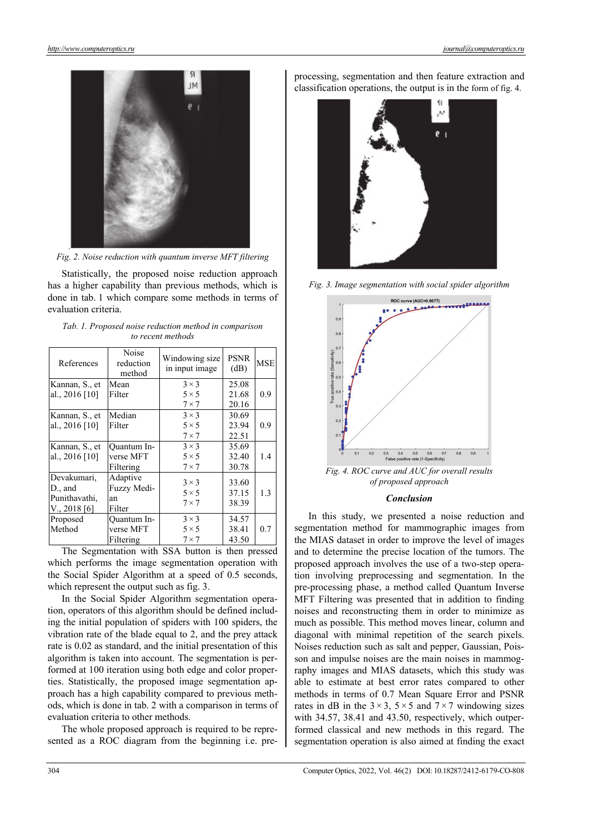

*Fig. 2. Noise reduction with quantum inverse MFT filtering*

Statistically, the proposed noise reduction approach has a higher capability than previous methods, which is done in tab. 1 which compare some methods in terms of evaluation criteria.

| References       | Noise<br>reduction<br>method | Windowing size<br>in input image | <b>PSNR</b><br>(dB) | <b>MSE</b> |
|------------------|------------------------------|----------------------------------|---------------------|------------|
| Kannan, S., et   | Mean                         | $3 \times 3$                     | 25.08               |            |
| al., 2016 [10]   | Filter                       | $5 \times 5$                     | 21.68               | 0.9        |
|                  |                              | $7 \times 7$                     | 20.16               |            |
| Kannan, S., et   | Median                       | $3 \times 3$                     | 30.69               |            |
| al., $2016$ [10] | Filter                       | $5 \times 5$                     | 23.94               | 0.9        |
|                  |                              | $7 \times 7$                     | 22.51               |            |
| Kannan, S., et   | <b>Ouantum In-</b>           | $3 \times 3$                     | 35.69               |            |
| al., $2016$ [10] | verse MFT                    | $5 \times 5$                     | 32.40               | 1.4        |
|                  | Filtering                    | $7 \times 7$                     | 30.78               |            |
| Devakumari,      | Adaptive                     | $3 \times 3$                     | 33.60               |            |
| D., and          | Fuzzy Medi-                  | $5 \times 5$                     | 37.15               | 1.3        |
| Punithavathi,    | an                           | $7 \times 7$                     | 38.39               |            |
| V., 2018[6]      | Filter                       |                                  |                     |            |
| Proposed         | <b>Ouantum In-</b>           | $3 \times 3$                     | 34.57               |            |
| Method           | verse MFT                    | $5 \times 5$                     | 38.41               | 0.7        |
|                  | Filtering                    | $7 \times 7$                     | 43.50               |            |

|                   |  |  |  |  |  |  | Tab. 1. Proposed noise reduction method in comparison |
|-------------------|--|--|--|--|--|--|-------------------------------------------------------|
| to recent methods |  |  |  |  |  |  |                                                       |

The Segmentation with SSA button is then pressed which performs the image segmentation operation with the Social Spider Algorithm at a speed of 0.5 seconds, which represent the output such as fig. 3.

In the Social Spider Algorithm segmentation operation, operators of this algorithm should be defined including the initial population of spiders with 100 spiders, the vibration rate of the blade equal to 2, and the prey attack rate is 0.02 as standard, and the initial presentation of this algorithm is taken into account. The segmentation is performed at 100 iteration using both edge and color properties. Statistically, the proposed image segmentation approach has a high capability compared to previous methods, which is done in tab. 2 with a comparison in terms of evaluation criteria to other methods.

The whole proposed approach is required to be represented as a ROC diagram from the beginning i.e. preprocessing, segmentation and then feature extraction and classification operations, the output is in the form of fig. 4.



*Fig. 3. Image segmentation with social spider algorithm* 



*Fig. 4. ROC curve and AUC for overall results of proposed approach* 

#### *Conclusion*

In this study, we presented a noise reduction and segmentation method for mammographic images from the MIAS dataset in order to improve the level of images and to determine the precise location of the tumors. The proposed approach involves the use of a two-step operation involving preprocessing and segmentation. In the pre-processing phase, a method called Quantum Inverse MFT Filtering was presented that in addition to finding noises and reconstructing them in order to minimize as much as possible. This method moves linear, column and diagonal with minimal repetition of the search pixels. Noises reduction such as salt and pepper, Gaussian, Poisson and impulse noises are the main noises in mammography images and MIAS datasets, which this study was able to estimate at best error rates compared to other methods in terms of 0.7 Mean Square Error and PSNR rates in dB in the  $3 \times 3$ ,  $5 \times 5$  and  $7 \times 7$  windowing sizes with 34.57, 38.41 and 43.50, respectively, which outperformed classical and new methods in this regard. The segmentation operation is also aimed at finding the exact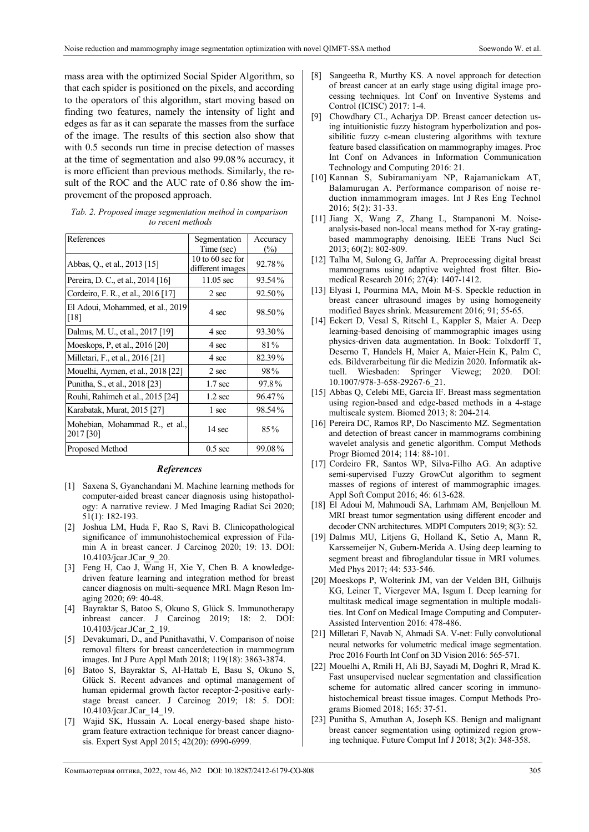mass area with the optimized Social Spider Algorithm, so that each spider is positioned on the pixels, and according to the operators of this algorithm, start moving based on finding two features, namely the intensity of light and edges as far as it can separate the masses from the surface of the image. The results of this section also show that with 0.5 seconds run time in precise detection of masses at the time of segmentation and also 99.08 % accuracy, it is more efficient than previous methods. Similarly, the result of the ROC and the AUC rate of 0.86 show the improvement of the proposed approach.

| Tab. 2. Proposed image segmentation method in comparison |
|----------------------------------------------------------|
| to recent methods                                        |

| References                                  | Segmentation<br>Time (sec)           | Accuracy<br>(%) |
|---------------------------------------------|--------------------------------------|-----------------|
| Abbas, Q., et al., 2013 [15]                | 10 to 60 sec for<br>different images | 92.78%          |
| Pereira, D. C., et al., 2014 [16]           | $11.05$ sec                          | 93.54%          |
| Cordeiro, F. R., et al., 2016 [17]          | 2 sec                                | 92.50%          |
| El Adoui, Mohammed, et al., 2019<br>[18]    | 4 sec                                | 98.50%          |
| Dalmis, M. U., et al., 2017 [19]            | 4 sec                                | 93.30%          |
| Moeskops, P, et al., 2016 [20]              | 4 sec                                | 81%             |
| Milletari, F., et al., 2016 [21]            | 4 sec                                | 82.39%          |
| Mouelhi, Aymen, et al., 2018 [22]           | 2 sec                                | 98%             |
| Punitha, S., et al., 2018 [23]              | $1.7 \text{ sec}$                    | 97.8%           |
| Rouhi, Rahimeh et al., 2015 [24]            | $1.2 \text{ sec}$                    | 96.47%          |
| Karabatak, Murat, 2015 [27]                 | 1 sec                                | 98.54%          |
| Mohebian, Mohammad R., et al.,<br>2017 [30] | 14 sec                               | 85%             |
| Proposed Method                             | $0.5 \text{ sec}$                    | 99.08%          |

#### *References*

- [1] Saxena S, Gyanchandani M. Machine learning methods for computer-aided breast cancer diagnosis using histopathology: A narrative review. J Med Imaging Radiat Sci 2020; 51(1): 182-193.
- [2] Joshua LM, Huda F, Rao S, Ravi B. Clinicopathological significance of immunohistochemical expression of Filamin A in breast cancer. J Carcinog 2020; 19: 13. DOI: 10.4103/jcar.JCar\_9\_20.
- [3] Feng H, Cao J, Wang H, Xie Y, Chen B. A knowledgedriven feature learning and integration method for breast cancer diagnosis on multi-sequence MRI. Magn Reson Imaging 2020; 69: 40-48.
- [4] Bayraktar S, Batoo S, Okuno S, Glück S. Immunotherapy inbreast cancer. J Carcinog 2019; 18: 2. DOI: 10.4103/jcar.JCar\_2\_19.
- [5] Devakumari, D., and Punithavathi, V. Comparison of noise removal filters for breast cancerdetection in mammogram images. Int J Pure Appl Math 2018; 119(18): 3863-3874.
- [6] Batoo S, Bayraktar S, Al-Hattab E, Basu S, Okuno S, Glück S. Recent advances and optimal management of human epidermal growth factor receptor-2-positive earlystage breast cancer. J Carcinog 2019; 18: 5. DOI: 10.4103/jcar.JCar\_14\_19.
- [7] Wajid SK, Hussain A. Local energy-based shape histogram feature extraction technique for breast cancer diagnosis. Expert Syst Appl 2015; 42(20): 6990-6999.
- [8] Sangeetha R, Murthy KS. A novel approach for detection of breast cancer at an early stage using digital image processing techniques. Int Conf on Inventive Systems and Control (ICISC) 2017: 1-4.
- Chowdhary CL, Acharjya DP. Breast cancer detection using intuitionistic fuzzy histogram hyperbolization and possibilitic fuzzy c-mean clustering algorithms with texture feature based classification on mammography images. Proc Int Conf on Advances in Information Communication Technology and Computing 2016: 21.
- [10] Kannan S, Subiramaniyam NP, Rajamanickam AT, Balamurugan A. Performance comparison of noise reduction inmammogram images. Int J Res Eng Technol 2016; 5(2): 31-33.
- [11] Jiang X, Wang Z, Zhang L, Stampanoni M. Noiseanalysis-based non-local means method for X-ray gratingbased mammography denoising. IEEE Trans Nucl Sci 2013; 60(2): 802-809.
- [12] Talha M, Sulong G, Jaffar A. Preprocessing digital breast mammograms using adaptive weighted frost filter. Biomedical Research 2016; 27(4): 1407-1412.
- [13] Elyasi I, Pourmina MA, Moin M-S. Speckle reduction in breast cancer ultrasound images by using homogeneity modified Bayes shrink. Measurement 2016; 91; 55-65.
- [14] Eckert D, Vesal S, Ritschl L, Kappler S, Maier A. Deep learning-based denoising of mammographic images using physics-driven data augmentation. In Book: Tolxdorff T, Deserno T, Handels H, Maier A, Maier-Hein K, Palm C, eds. Bildverarbeitung für die Medizin 2020. Informatik aktuell. Wiesbaden: Springer Vieweg; 2020. DOI: 10.1007/978-3-658-29267-6\_21.
- [15] Abbas Q, Celebi ME, Garcia IF. Breast mass segmentation using region-based and edge-based methods in a 4-stage multiscale system. Biomed 2013; 8: 204-214.
- [16] Pereira DC, Ramos RP, Do Nascimento MZ. Segmentation and detection of breast cancer in mammograms combining wavelet analysis and genetic algorithm. Comput Methods Progr Biomed 2014; 114: 88-101.
- [17] Cordeiro FR, Santos WP, Silva-Filho AG. An adaptive semi-supervised Fuzzy GrowCut algorithm to segment masses of regions of interest of mammographic images. Appl Soft Comput 2016; 46: 613-628.
- [18] El Adoui M, Mahmoudi SA, Larhmam AM, Benjelloun M. MRI breast tumor segmentation using different encoder and decoder CNN architectures. MDPI Computers 2019; 8(3): 52.
- [19] Dalmıs MU, Litjens G, Holland K, Setio A, Mann R, Karssemeijer N, Gubern-Merida A. Using deep learning to segment breast and fibroglandular tissue in MRI volumes. Med Phys 2017; 44: 533-546.
- [20] Moeskops P, Wolterink JM, van der Velden BH, Gilhuijs KG, Leiner T, Viergever MA, Isgum I. Deep learning for multitask medical image segmentation in multiple modalities. Int Conf on Medical Image Computing and Computer-Assisted Intervention 2016: 478-486.
- [21] Milletari F, Navab N, Ahmadi SA. V-net: Fully convolutional neural networks for volumetric medical image segmentation. Proc 2016 Fourth Int Conf on 3D Vision 2016: 565-571.
- [22] Mouelhi A, Rmili H, Ali BJ, Sayadi M, Doghri R, Mrad K. Fast unsupervised nuclear segmentation and classification scheme for automatic allred cancer scoring in immunohistochemical breast tissue images. Comput Methods Programs Biomed 2018; 165: 37-51.
- [23] Punitha S, Amuthan A, Joseph KS. Benign and malignant breast cancer segmentation using optimized region growing technique. Future Comput Inf J 2018; 3(2): 348-358.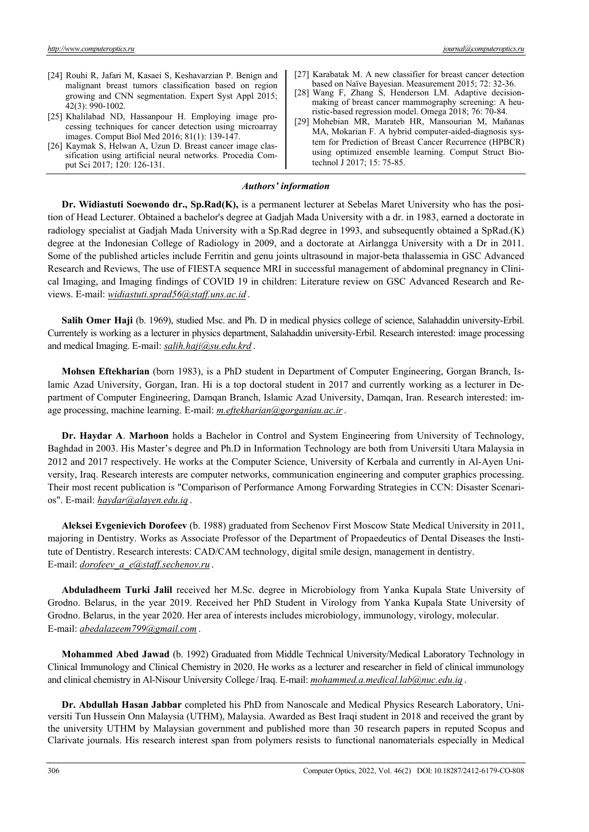- [24] Rouhi R, Jafari M, Kasaei S, Keshavarzian P. Benign and malignant breast tumors classification based on region growing and CNN segmentation. Expert Syst Appl 2015; 42(3): 990-1002.
- [25] Khalilabad ND, Hassanpour H. Employing image processing techniques for cancer detection using microarray images. Comput Biol Med 2016; 81(1): 139-147.
- [26] Kaymak S, Helwan A, Uzun D. Breast cancer image classification using artificial neural networks. Procedia Comput Sci 2017; 120: 126-131.
- [27] Karabatak M. A new classifier for breast cancer detection based on Naïve Bayesian. Measurement 2015; 72: 32-36.
- [28] Wang F, Zhang S, Henderson LM. Adaptive decisionmaking of breast cancer mammography screening: A heuristic-based regression model. Omega 2018; 76: 70-84.
- [29] Mohebian MR, Marateb HR, Mansourian M, Mañanas MA, Mokarian F. A hybrid computer-aided-diagnosis system for Prediction of Breast Cancer Recurrence (HPBCR) using optimized ensemble learning. Comput Struct Biotechnol J 2017; 15: 75-85.

# *Authors' information*

**Dr. Widiastuti Soewondo dr., Sp.Rad(K),** is a permanent lecturer at Sebelas Maret University who has the position of Head Lecturer. Obtained a bachelor's degree at Gadjah Mada University with a dr. in 1983, earned a doctorate in radiology specialist at Gadjah Mada University with a Sp.Rad degree in 1993, and subsequently obtained a SpRad.(K) degree at the Indonesian College of Radiology in 2009, and a doctorate at Airlangga University with a Dr in 2011. Some of the published articles include Ferritin and genu joints ultrasound in major-beta thalassemia in GSC Advanced Research and Reviews, The use of FIESTA sequence MRI in successful management of abdominal pregnancy in Clinical Imaging, and Imaging findings of COVID 19 in children: Literature review on GSC Advanced Research and Reviews. E-mail: *widiastuti.sprad56@staff.uns.ac.id* .

**Salih Omer Haji** (b. 1969), studied Msc. and Ph. D in medical physics college of science, Salahaddin university-Erbil. Currentely is working as a lecturer in physics department, Salahaddin university-Erbil. Research interested: image processing and medical Imaging. E-mail: *salih.haji@su.edu.krd* .

**Mohsen Eftekharian** (born 1983), is a PhD student in Department of Computer Engineering, Gorgan Branch, Islamic Azad University, Gorgan, Iran. Hi is a top doctoral student in 2017 and currently working as a lecturer in Department of Computer Engineering, Damqan Branch, Islamic Azad University, Damqan, Iran. Research interested: image processing, machine learning. E-mail: *m.eftekharian@gorganiau.ac.ir*.

**Dr. Haydar A**. **Marhoon** holds a Bachelor in Control and System Engineering from University of Technology, Baghdad in 2003. His Master's degree and Ph.D in Information Technology are both from Universiti Utara Malaysia in 2012 and 2017 respectively. He works at the Computer Science, University of Kerbala and currently in Al-Ayen University, Iraq. Research interests are computer networks, communication engineering and computer graphics processing. Their most recent publication is "Comparison of Performance Among Forwarding Strategies in CCN: Disaster Scenarios". E-mail: *haydar@alayen.edu.iq* .

**Aleksei Evgenievich Dorofeev** (b. 1988) graduated from Sechenov First Moscow State Medical University in 2011, majoring in Dentistry. Works as Associate Professor of the Department of Propaedeutics of Dental Diseases the Institute of Dentistry. Research interests: CAD/CAM technology, digital smile design, management in dentistry. E-mail: *dorofeev\_a\_e@staff.sechenov.ru* .

**Abduladheem Turki Jalil** received her M.Sc. degree in Microbiology from Yanka Kupala State University of Grodno. Belarus, in the year 2019. Received her PhD Student in Virology from Yanka Kupala State University of Grodno. Belarus, in the year 2020. Her area of interests includes microbiology, immunology, virology, molecular. E-mail: *abedalazeem799@gmail.com* .

**Mohammed Abed Jawad** (b. 1992) Graduated from Middle Technical University/Medical Laboratory Technology in Clinical Immunology and Clinical Chemistry in 2020. He works as a lecturer and researcher in field of clinical immunology and clinical chemistry in Al-Nisour University College /Iraq. E-mail: *mohammed.a.medical.lab@nuc.edu.iq* .

**Dr. Abdullah Hasan Jabbar** completed his PhD from Nanoscale and Medical Physics Research Laboratory, Universiti Tun Hussein Onn Malaysia (UTHM), Malaysia. Awarded as Best Iraqi student in 2018 and received the grant by the university UTHM by Malaysian government and published more than 30 research papers in reputed Scopus and Clarivate journals. His research interest span from polymers resists to functional nanomaterials especially in Medical